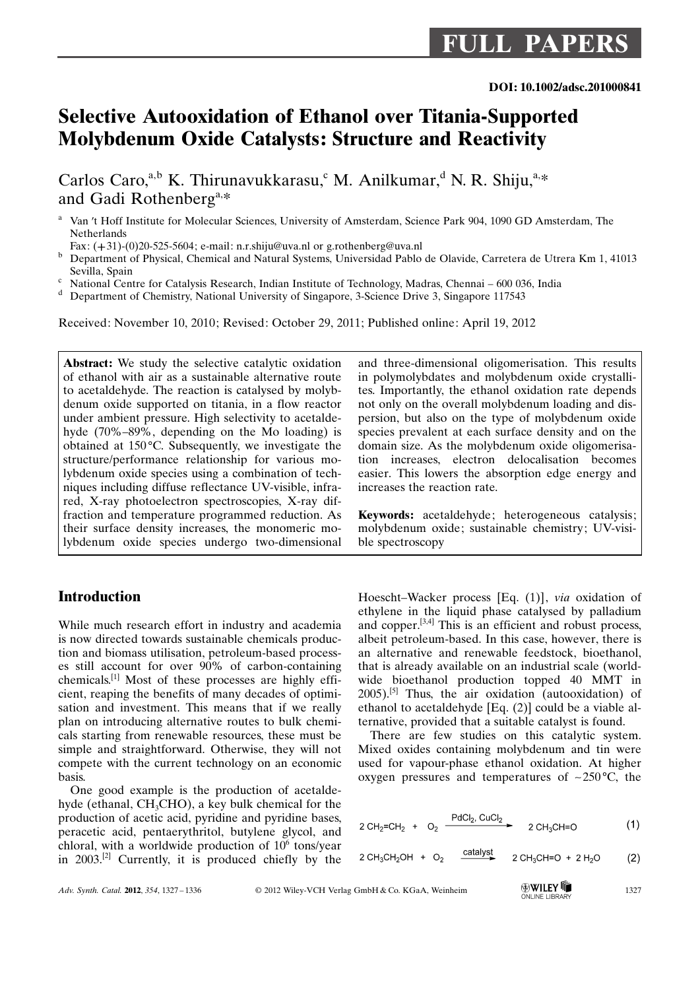# Selective Autooxidation of Ethanol over Titania-Supported Molybdenum Oxide Catalysts: Structure and Reactivity

Carlos Caro,<sup>a,b</sup> K. Thirunavukkarasu,<sup>c</sup> M. Anilkumar,<sup>d</sup> N. R. Shiju,<sup>a,\*</sup> and Gadi Rothenberg<sup>a,\*</sup>

Received: November 10, 2010; Revised: October 29, 2011; Published online: April 19, 2012

Abstract: We study the selective catalytic oxidation of ethanol with air as a sustainable alternative route to acetaldehyde. The reaction is catalysed by molybdenum oxide supported on titania, in a flow reactor under ambient pressure. High selectivity to acetaldehyde (70%–89%, depending on the Mo loading) is obtained at  $150^{\circ}$ C. Subsequently, we investigate the structure/performance relationship for various molybdenum oxide species using a combination of techniques including diffuse reflectance UV-visible, infrared, X-ray photoelectron spectroscopies, X-ray diffraction and temperature programmed reduction. As their surface density increases, the monomeric molybdenum oxide species undergo two-dimensional

# **Introduction**

While much research effort in industry and academia is now directed towards sustainable chemicals production and biomass utilisation, petroleum-based processes still account for over 90% of carbon-containing chemicals.[1] Most of these processes are highly efficient, reaping the benefits of many decades of optimisation and investment. This means that if we really plan on introducing alternative routes to bulk chemicals starting from renewable resources, these must be simple and straightforward. Otherwise, they will not compete with the current technology on an economic basis.

One good example is the production of acetaldehyde (ethanal, CH<sub>3</sub>CHO), a key bulk chemical for the production of acetic acid, pyridine and pyridine bases, peracetic acid, pentaerythritol, butylene glycol, and chloral, with a worldwide production of  $10<sup>6</sup>$  tons/year in 2003.[2] Currently, it is produced chiefly by the

and three-dimensional oligomerisation. This results in polymolybdates and molybdenum oxide crystallites. Importantly, the ethanol oxidation rate depends not only on the overall molybdenum loading and dispersion, but also on the type of molybdenum oxide species prevalent at each surface density and on the domain size. As the molybdenum oxide oligomerisation increases, electron delocalisation becomes easier. This lowers the absorption edge energy and increases the reaction rate.

Keywords: acetaldehyde; heterogeneous catalysis; molybdenum oxide; sustainable chemistry; UV-visible spectroscopy

Hoescht–Wacker process [Eq. (1)], via oxidation of ethylene in the liquid phase catalysed by palladium and copper.[3,4] This is an efficient and robust process, albeit petroleum-based. In this case, however, there is an alternative and renewable feedstock, bioethanol, that is already available on an industrial scale (worldwide bioethanol production topped 40 MMT in  $2005$ .<sup>[5]</sup> Thus, the air oxidation (autooxidation) of ethanol to acetaldehyde [Eq. (2)] could be a viable alternative, provided that a suitable catalyst is found.

There are few studies on this catalytic system. Mixed oxides containing molybdenum and tin were used for vapour-phase ethanol oxidation. At higher oxygen pressures and temperatures of  $\sim$ 250 °C, the

$$
CH_2=CH_2 + O_2 \xrightarrow{\text{PdCl}_2, \text{CuCl}_2} 2 \text{CH}_3\text{CH}=O \qquad (1)
$$

$$
2 \text{ CH}_3\text{CH}_2\text{OH} + O_2 \xrightarrow{\text{Catalyst}} 2 \text{ CH}_3\text{CH}=O + 2 \text{ H}_2\text{O} \tag{2}
$$

 $\overline{2}$ 

<sup>&</sup>lt;sup>a</sup> Van 't Hoff Institute for Molecular Sciences, University of Amsterdam, Science Park 904, 1090 GD Amsterdam, The Netherlands

Fax: (+31)-(0)20-525-5604; e-mail: n.r.shiju@uva.nl or g.rothenberg@uva.nl

<sup>b</sup> Department of Physical, Chemical and Natural Systems, Universidad Pablo de Olavide, Carretera de Utrera Km 1, 41013 Sevilla, Spain<br>National Centre for Catalysis Research, Indian Institute of Technology, Madras, Chennai – 600 036, India

<sup>d</sup> Department of Chemistry, National University of Singapore, 3-Science Drive 3, Singapore 117543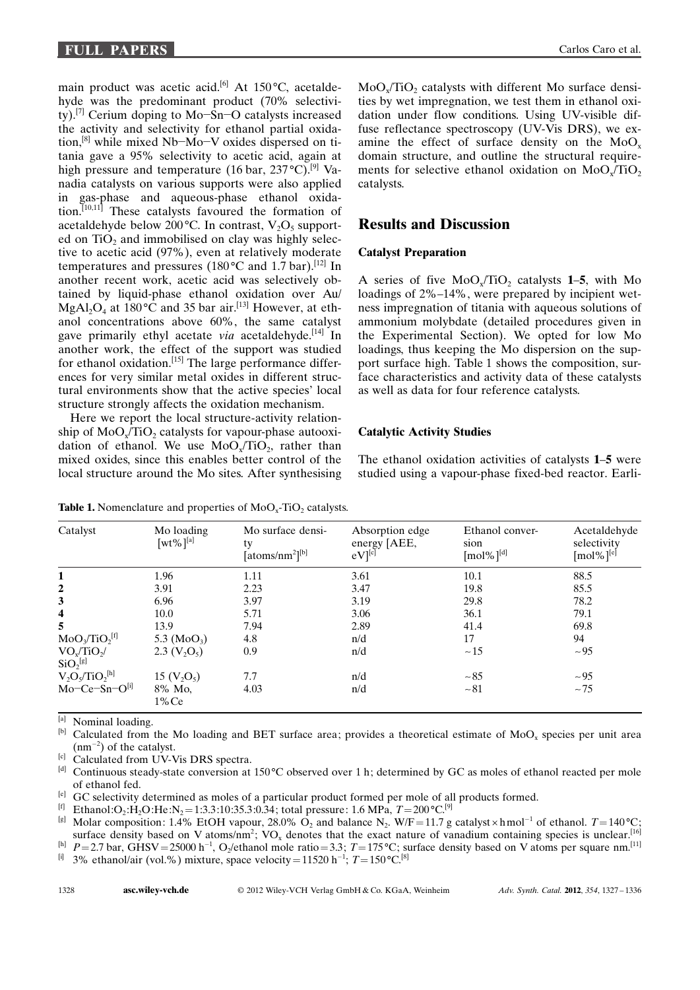main product was acetic acid.<sup>[6]</sup> At 150 $^{\circ}$ C, acetaldehyde was the predominant product (70% selectivity).<sup>[7]</sup> Cerium doping to Mo-Sn-O catalysts increased the activity and selectivity for ethanol partial oxidation,<sup>[8]</sup> while mixed Nb-Mo-V oxides dispersed on titania gave a 95% selectivity to acetic acid, again at high pressure and temperature (16 bar,  $237^{\circ}$ C).<sup>[9]</sup> Vanadia catalysts on various supports were also applied in gas-phase and aqueous-phase ethanol oxidation.[10,11] These catalysts favoured the formation of acetaldehyde below 200 °C. In contrast,  $V_2O_5$  supported on  $TiO<sub>2</sub>$  and immobilised on clay was highly selective to acetic acid (97%), even at relatively moderate temperatures and pressures (180 $^{\circ}$ C and 1.7 bar).<sup>[12]</sup> In another recent work, acetic acid was selectively obtained by liquid-phase ethanol oxidation over Au/  $MgA<sub>2</sub>O<sub>4</sub>$  at 180 °C and 35 bar air.<sup>[13]</sup> However, at ethanol concentrations above 60%, the same catalyst gave primarily ethyl acetate via acetaldehyde.<sup>[14]</sup> In another work, the effect of the support was studied for ethanol oxidation.<sup>[15]</sup> The large performance differences for very similar metal oxides in different structural environments show that the active species' local structure strongly affects the oxidation mechanism.

Here we report the local structure-activity relationship of  $MoO<sub>x</sub>/TiO<sub>2</sub>$  catalysts for vapour-phase autooxidation of ethanol. We use  $MoO<sub>v</sub>/TiO<sub>2</sub>$ , rather than mixed oxides, since this enables better control of the local structure around the Mo sites. After synthesising  $MoO<sub>v</sub>/TiO<sub>2</sub>$  catalysts with different Mo surface densities by wet impregnation, we test them in ethanol oxidation under flow conditions. Using UV-visible diffuse reflectance spectroscopy (UV-Vis DRS), we examine the effect of surface density on the  $MoO<sub>x</sub>$ domain structure, and outline the structural requirements for selective ethanol oxidation on  $MoO<sub>x</sub>/TiO<sub>2</sub>$ catalysts.

## Results and Discussion

#### Catalyst Preparation

A series of five  $MoO<sub>v</sub>/TiO<sub>2</sub>$  catalysts 1–5, with Mo loadings of 2%–14%, were prepared by incipient wetness impregnation of titania with aqueous solutions of ammonium molybdate (detailed procedures given in the Experimental Section). We opted for low Mo loadings, thus keeping the Mo dispersion on the support surface high. Table 1 shows the composition, surface characteristics and activity data of these catalysts as well as data for four reference catalysts.

## Catalytic Activity Studies

The ethanol oxidation activities of catalysts 1–5 were studied using a vapour-phase fixed-bed reactor. Earli-

| Catalyst                                          | Mo loading<br>$[wt\%]^{[a]}$ | Mo surface densi-<br>ty<br>[atoms/nm <sup>2</sup> ][b] | Absorption edge<br>energy [AEE,<br>$eV$ <sup>[c]</sup> | Ethanol conver-<br>sion<br>$\lceil \text{mol} \% \rceil^{\text{[d]}}$ | Acetaldehyde<br>selectivity<br>$\lceil \text{mol} \% \rceil^{\text{[e]}}$ |
|---------------------------------------------------|------------------------------|--------------------------------------------------------|--------------------------------------------------------|-----------------------------------------------------------------------|---------------------------------------------------------------------------|
| 1                                                 | 1.96                         | 1.11                                                   | 3.61                                                   | 10.1                                                                  | 88.5                                                                      |
| $\mathbf{2}$                                      | 3.91                         | 2.23                                                   | 3.47                                                   | 19.8                                                                  | 85.5                                                                      |
| 3                                                 | 6.96                         | 3.97                                                   | 3.19                                                   | 29.8                                                                  | 78.2                                                                      |
| 4                                                 | 10.0                         | 5.71                                                   | 3.06                                                   | 36.1                                                                  | 79.1                                                                      |
| 5                                                 | 13.9                         | 7.94                                                   | 2.89                                                   | 41.4                                                                  | 69.8                                                                      |
| $MoO3/TiO2[f]$                                    | 5.3 $(MoO3)$                 | 4.8                                                    | n/d                                                    | 17                                                                    | 94                                                                        |
| VO <sub>x</sub> /TiO <sub>2</sub> /<br>$SiO2$ [g] | 2.3 $(V_2O_5)$               | 0.9                                                    | n/d                                                    | ~15                                                                   | $~1 - 95$                                                                 |
| $V_2O_5/TiO_2^{[h]}$                              | 15 $(V_2O_5)$                | 7.7                                                    | n/d                                                    | $~1 - 85$                                                             | $~1 - 95$                                                                 |
| $Mo-Ce-Sn-O[i]$                                   | 8% Mo.<br>$1\%$ Ce           | 4.03                                                   | n/d                                                    | $~1 - 81$                                                             | $~1 - 75$                                                                 |

**Table 1.** Nomenclature and properties of  $MoO<sub>x</sub>-TiO<sub>2</sub>$  catalysts.

[a] Nominal loading.

<sup>[b]</sup> Calculated from the Mo loading and BET surface area; provides a theoretical estimate of MoO<sub>x</sub> species per unit area  $(nm^{-2})$  of the catalyst.

[c] Calculated from UV-Vis DRS spectra.

[d] Continuous steady-state conversion at  $150^{\circ}$ C observed over 1 h; determined by GC as moles of ethanol reacted per mole of ethanol fed.

<sup>[e]</sup> GC selectivity determined as moles of a particular product formed per mole of all products formed.

<sup>[f]</sup> Ethanol:O<sub>2</sub>:H<sub>2</sub>O:He:N<sub>2</sub> = 1:3.3:10:35.3:0.34; total pressure: 1.6 MPa,  $T = 200^{\circ}C^{[9]}$ 

<sup>[g]</sup> Molar composition: 1.4% EtOH vapour, 28.0% O<sub>2</sub> and balance N<sub>2</sub>. W/F = 11.7 g catalyst  $\times$  hmol<sup>-1</sup> of ethanol. T = 140 °C; surface density based on V atoms/nm<sup>2</sup>; VO<sub>x</sub> denotes that the exact nature of vanadium containing species is unclear.<sup>[16]</sup>

<sup>[h]</sup>  $P=2.7$  bar, GHSV = 25000 h<sup>-1</sup>, O<sub>2</sub>/ethanol mole ratio = 3.3; T = 175 °C; surface density based on V atoms per square nm.<sup>[11]</sup> <sup>[i]</sup> 3% ethanol/air (vol.%) mixture, space velocity = 11520 h<sup>-1</sup>;  $T = 150 \degree \text{C}^{8}$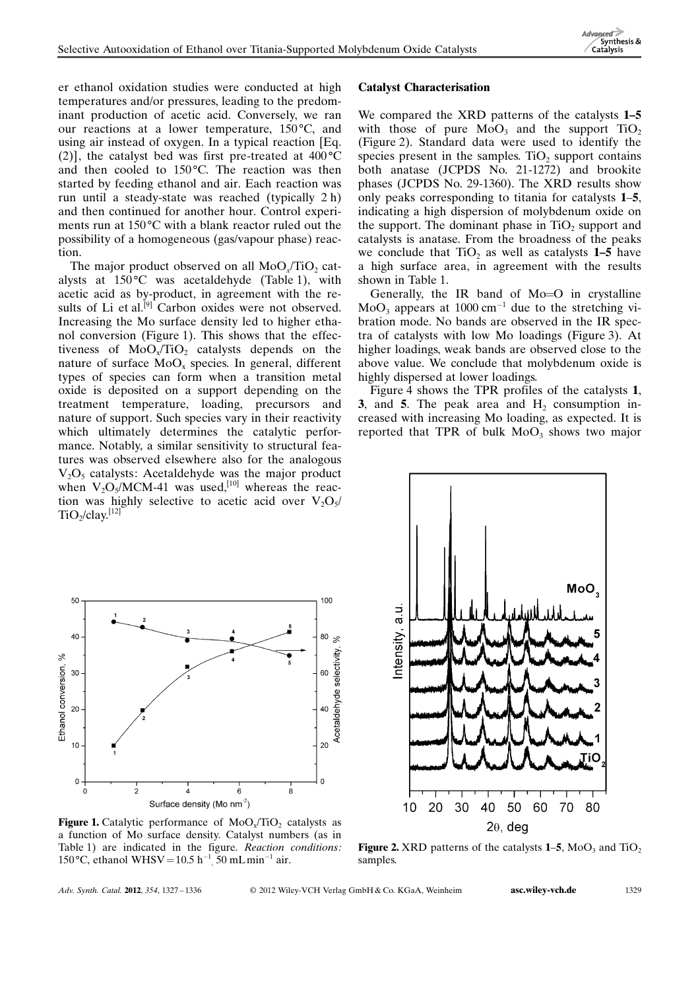er ethanol oxidation studies were conducted at high temperatures and/or pressures, leading to the predominant production of acetic acid. Conversely, we ran our reactions at a lower temperature,  $150^{\circ}$ C, and using air instead of oxygen. In a typical reaction [Eq. (2)], the catalyst bed was first pre-treated at  $400^{\circ}$ C and then cooled to  $150^{\circ}$ C. The reaction was then started by feeding ethanol and air. Each reaction was run until a steady-state was reached (typically 2 h) and then continued for another hour. Control experiments run at  $150^{\circ}$ C with a blank reactor ruled out the possibility of a homogeneous (gas/vapour phase) reaction.

The major product observed on all  $MoO$ <sub>v</sub> $TiO$ <sub>2</sub> catalysts at  $150^{\circ}$ C was acetaldehyde (Table 1), with acetic acid as by-product, in agreement with the results of Li et al.<sup>[9]</sup> Carbon oxides were not observed. Increasing the Mo surface density led to higher ethanol conversion (Figure 1). This shows that the effectiveness of  $MoO<sub>x</sub>/TiO<sub>2</sub>$  catalysts depends on the nature of surface  $MoO<sub>x</sub>$  species. In general, different types of species can form when a transition metal oxide is deposited on a support depending on the treatment temperature, loading, precursors and nature of support. Such species vary in their reactivity which ultimately determines the catalytic performance. Notably, a similar sensitivity to structural features was observed elsewhere also for the analogous  $V_2O_5$  catalysts: Acetaldehyde was the major product when  $V_2O_5/MCM$ -41 was used,<sup>[10]</sup> whereas the reaction was highly selective to acetic acid over  $V_2O_5/$  $TiO_2/clav$ <sup>[12]</sup>

#### Catalyst Characterisation

We compared the XRD patterns of the catalysts 1–5 with those of pure  $MoO<sub>3</sub>$  and the support TiO<sub>2</sub> (Figure 2). Standard data were used to identify the species present in the samples. TiO<sub>2</sub> support contains both anatase (JCPDS No. 21-1272) and brookite phases (JCPDS No. 29-1360). The XRD results show only peaks corresponding to titania for catalysts 1–5, indicating a high dispersion of molybdenum oxide on the support. The dominant phase in  $TiO<sub>2</sub>$  support and catalysts is anatase. From the broadness of the peaks we conclude that  $TiO<sub>2</sub>$  as well as catalysts 1–5 have a high surface area, in agreement with the results shown in Table 1.

Generally, the IR band of Mo=O in crystalline  $MoO<sub>3</sub>$  appears at 1000 cm<sup>-1</sup> due to the stretching vibration mode. No bands are observed in the IR spectra of catalysts with low Mo loadings (Figure 3). At higher loadings, weak bands are observed close to the above value. We conclude that molybdenum oxide is highly dispersed at lower loadings.

Figure 4 shows the TPR profiles of the catalysts 1, 3, and 5. The peak area and  $H_2$  consumption increased with increasing Mo loading, as expected. It is reported that TPR of bulk  $MoO<sub>3</sub>$  shows two major



**Figure 1.** Catalytic performance of  $MoO<sub>x</sub>/TiO<sub>2</sub>$  catalysts as a function of Mo surface density. Catalyst numbers (as in Table 1) are indicated in the figure. Reaction conditions: 150 °C, ethanol WHSV =  $10.5$  h<sup>-1</sup>, 50 mLmin<sup>-1</sup> air.



**Figure 2.** XRD patterns of the catalysts  $1-5$ , MoO<sub>3</sub> and TiO<sub>2</sub> samples.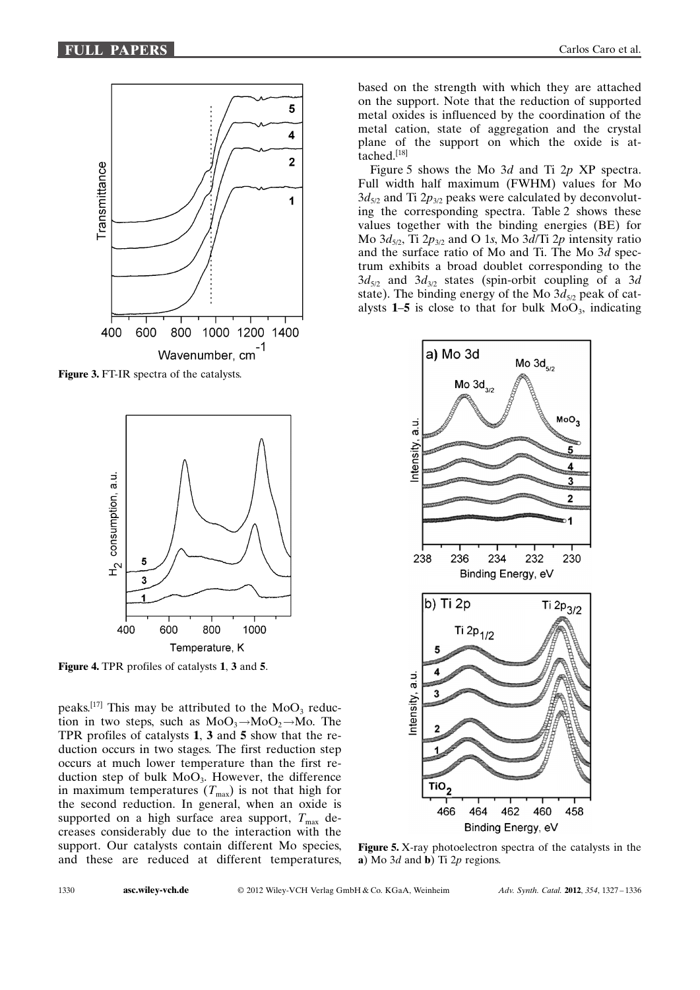

Figure 3. FT-IR spectra of the catalysts.



Figure 4. TPR profiles of catalysts 1, 3 and 5.

peaks.<sup>[17]</sup> This may be attributed to the  $MoO<sub>3</sub>$  reduction in two steps, such as  $MoO_3 \rightarrow MoO_2 \rightarrow Mo$ . The TPR profiles of catalysts 1, 3 and 5 show that the reduction occurs in two stages. The first reduction step occurs at much lower temperature than the first reduction step of bulk  $MoO<sub>3</sub>$ . However, the difference in maximum temperatures  $(T<sub>max</sub>)$  is not that high for the second reduction. In general, when an oxide is supported on a high surface area support,  $T_{\text{max}}$  decreases considerably due to the interaction with the support. Our catalysts contain different Mo species, and these are reduced at different temperatures, based on the strength with which they are attached on the support. Note that the reduction of supported metal oxides is influenced by the coordination of the metal cation, state of aggregation and the crystal plane of the support on which the oxide is attached.[18]

Figure 5 shows the Mo 3d and Ti 2p XP spectra. Full width half maximum (FWHM) values for Mo  $3d_{5/2}$  and Ti  $2p_{3/2}$  peaks were calculated by deconvoluting the corresponding spectra. Table 2 shows these values together with the binding energies (BE) for Mo  $3d_{5/2}$ , Ti  $2p_{3/2}$  and O 1s, Mo  $3d/Ti$  2p intensity ratio and the surface ratio of Mo and Ti. The Mo 3d spectrum exhibits a broad doublet corresponding to the  $3d_{5/2}$  and  $3d_{3/2}$  states (spin-orbit coupling of a 3d state). The binding energy of the Mo  $3d_{5/2}$  peak of catalysts  $1-5$  is close to that for bulk  $MoO<sub>3</sub>$ , indicating



Figure 5. X-ray photoelectron spectra of the catalysts in the a) Mo  $3d$  and **b**) Ti  $2p$  regions.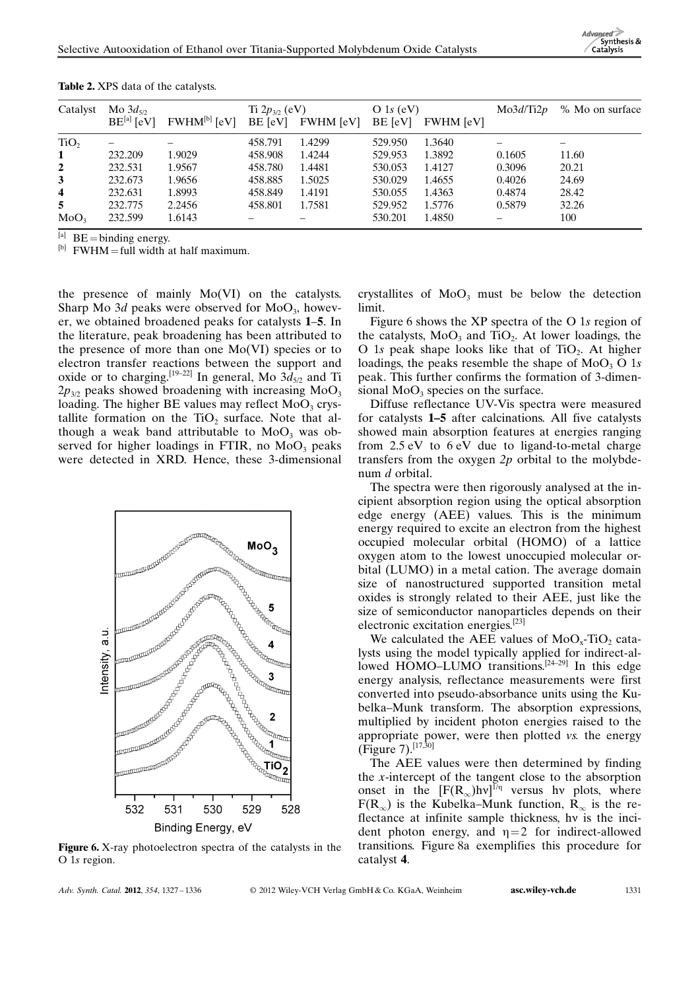| Catalyst                | Mo $3d_{5p}$    |                          | Ti $2p_{3/2}$ (eV) |                  | O 1s $(eV)$ |                  | Mo3d/Ti2p               | % Mo on surface          |
|-------------------------|-----------------|--------------------------|--------------------|------------------|-------------|------------------|-------------------------|--------------------------|
|                         | $BE^{[a]}$ [eV] | FWHM <sup>[b]</sup> [eV] | BE [eV]            | <b>FWHM</b> [eV] | BE [eV]     | <b>FWHM</b> [eV] |                         |                          |
| TiO <sub>2</sub>        |                 |                          | 458.791            | 1.4299           | 529.950     | 1.3640           |                         | $\overline{\phantom{0}}$ |
| $\mathbf{1}$            | 232.209         | 1.9029                   | 458.908            | 1.4244           | 529.953     | 1.3892           | 0.1605                  | 11.60                    |
| $\overline{2}$          | 232.531         | 1.9567                   | 458.780            | 1.4481           | 530.053     | 1.4127           | 0.3096                  | 20.21                    |
| $\mathbf{3}$            | 232.673         | 1.9656                   | 458.885            | 1.5025           | 530.029     | 1.4655           | 0.4026                  | 24.69                    |
| $\overline{\mathbf{4}}$ | 232.631         | 1.8993                   | 458.849            | 1.4191           | 530.055     | 1.4363           | 0.4874                  | 28.42                    |
| 5                       | 232.775         | 2.2456                   | 458.801            | 1.7581           | 529.952     | 1.5776           | 0.5879                  | 32.26                    |
| MoO <sub>3</sub>        | 232.599         | 1.6143                   |                    |                  | 530.201     | 1.4850           | $\qquad \qquad \  \, -$ | 100                      |

Table 2. XPS data of the catalysts.

 $^{[a]}$  BE = binding energy.

 $[<sup>b</sup>]$  FWHM = full width at half maximum.

the presence of mainly Mo(VI) on the catalysts. Sharp Mo  $3d$  peaks were observed for MoO<sub>3</sub>, however, we obtained broadened peaks for catalysts 1–5. In the literature, peak broadening has been attributed to the presence of more than one Mo(VI) species or to electron transfer reactions between the support and oxide or to charging.<sup>[19–22]</sup> In general, Mo  $3d_{5/2}$  and Ti  $2p_{3/2}$  peaks showed broadening with increasing MoO<sub>3</sub> loading. The higher BE values may reflect  $MoO<sub>3</sub>$  crystallite formation on the  $TiO<sub>2</sub>$  surface. Note that although a weak band attributable to  $MoO<sub>3</sub>$  was observed for higher loadings in FTIR, no  $MoO<sub>3</sub>$  peaks were detected in XRD. Hence, these 3-dimensional



Figure 6. X-ray photoelectron spectra of the catalysts in the O 1s region.

Adv. Synth. Catal. 2012, 354, 1327-1336

© 2012 Wiley-VCH Verlag GmbH & Co. KGaA, Weinheim **[asc.wiley-vch.de](http://asc.wiley-vch.de)** 1331

crystallites of  $MoO<sub>3</sub>$  must be below the detection limit.

Figure 6 shows the XP spectra of the O 1s region of the catalysts,  $MoO<sub>3</sub>$  and  $TiO<sub>2</sub>$ . At lower loadings, the O 1s peak shape looks like that of  $TiO<sub>2</sub>$ . At higher loadings, the peaks resemble the shape of  $MoO<sub>3</sub> O 1s$ peak. This further confirms the formation of 3-dimensional  $MoO<sub>3</sub>$  species on the surface.

Diffuse reflectance UV-Vis spectra were measured for catalysts 1–5 after calcinations. All five catalysts showed main absorption features at energies ranging from 2.5 eV to 6 eV due to ligand-to-metal charge transfers from the oxygen  $2p$  orbital to the molybdenum *d* orbital.

The spectra were then rigorously analysed at the incipient absorption region using the optical absorption edge energy (AEE) values. This is the minimum energy required to excite an electron from the highest occupied molecular orbital (HOMO) of a lattice oxygen atom to the lowest unoccupied molecular orbital (LUMO) in a metal cation. The average domain size of nanostructured supported transition metal oxides is strongly related to their AEE, just like the size of semiconductor nanoparticles depends on their electronic excitation energies.[23]

We calculated the AEE values of  $MoO<sub>x</sub>-TiO<sub>2</sub>$  catalysts using the model typically applied for indirect-allowed HOMO–LUMO transitions.<sup>[24–29]</sup> In this edge energy analysis, reflectance measurements were first converted into pseudo-absorbance units using the Kubelka–Munk transform. The absorption expressions, multiplied by incident photon energies raised to the appropriate power, were then plotted vs. the energy (Figure 7).[17,30]

The AEE values were then determined by finding the x-intercept of the tangent close to the absorption onset in the  $[F(R_{\infty})h\nu]^{1/\eta}$  versus hv plots, where  $F(R_{\infty})$  is the Kubelka–Munk function,  $R_{\infty}$  is the reflectance at infinite sample thickness, hy is the incident photon energy, and  $\eta=2$  for indirect-allowed transitions. Figure 8a exemplifies this procedure for catalyst 4.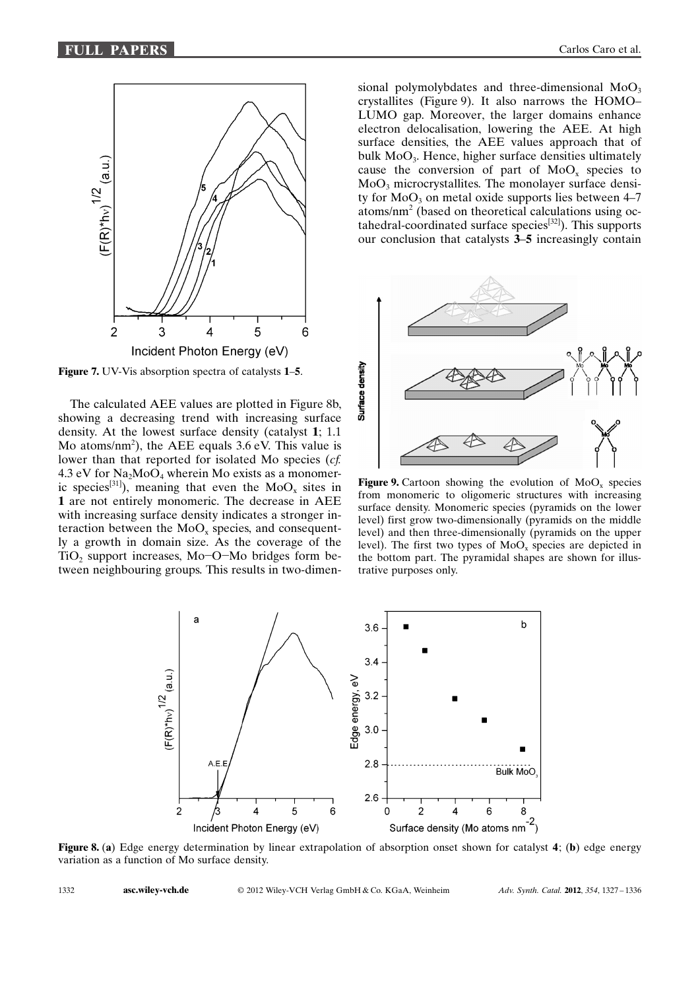

Figure 7. UV-Vis absorption spectra of catalysts 1–5.

The calculated AEE values are plotted in Figure 8b, showing a decreasing trend with increasing surface density. At the lowest surface density (catalyst 1; 1.1 Mo atoms/nm<sup>2</sup>), the AEE equals 3.6 eV. This value is lower than that reported for isolated Mo species (cf. 4.3 eV for  $Na<sub>2</sub>MoO<sub>4</sub>$  wherein Mo exists as a monomeric species<sup>[31]</sup>), meaning that even the  $MoO_x$  sites in 1 are not entirely monomeric. The decrease in AEE with increasing surface density indicates a stronger interaction between the  $MoO<sub>x</sub>$  species, and consequently a growth in domain size. As the coverage of the TiO<sub>2</sub> support increases, Mo-O-Mo bridges form between neighbouring groups. This results in two-dimensional polymolybdates and three-dimensional  $MoO<sub>3</sub>$ crystallites (Figure 9). It also narrows the HOMO– LUMO gap. Moreover, the larger domains enhance electron delocalisation, lowering the AEE. At high surface densities, the AEE values approach that of bulk  $MoO<sub>3</sub>$ . Hence, higher surface densities ultimately cause the conversion of part of  $MoO<sub>x</sub>$  species to  $MoO<sub>3</sub>$  microcrystallites. The monolayer surface density for  $MoO<sub>3</sub>$  on metal oxide supports lies between 4–7 atoms/nm<sup>2</sup> (based on theoretical calculations using octahedral-coordinated surface species<sup>[32]</sup>). This supports our conclusion that catalysts 3–5 increasingly contain



Figure 9. Cartoon showing the evolution of  $MoO<sub>x</sub>$  species from monomeric to oligomeric structures with increasing surface density. Monomeric species (pyramids on the lower level) first grow two-dimensionally (pyramids on the middle level) and then three-dimensionally (pyramids on the upper level). The first two types of  $MoO<sub>x</sub>$  species are depicted in the bottom part. The pyramidal shapes are shown for illustrative purposes only.



Figure 8. (a) Edge energy determination by linear extrapolation of absorption onset shown for catalyst 4; (b) edge energy variation as a function of Mo surface density.

1332 **[asc.wiley-vch.de](http://asc.wiley-vch.de)** 

2012 Wiley-VCH Verlag GmbH & Co. KGaA, Weinheim Adv. Synth. Catal. 2012, 354, 1327 – 1336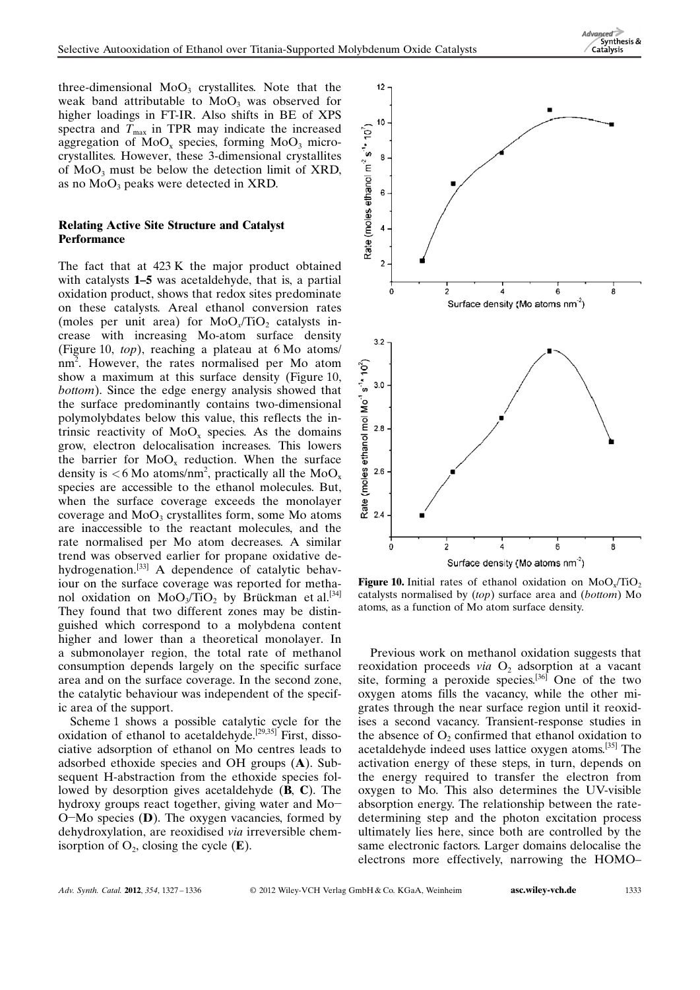$Advanced$ Synthesis & Catalysis

three-dimensional  $MoO<sub>3</sub>$  crystallites. Note that the weak band attributable to  $MoO<sub>3</sub>$  was observed for higher loadings in FT-IR. Also shifts in BE of XPS spectra and  $T_{\text{max}}$  in TPR may indicate the increased aggregation of  $MoO<sub>x</sub>$  species, forming  $MoO<sub>3</sub>$  microcrystallites. However, these 3-dimensional crystallites of  $MoO<sub>3</sub>$  must be below the detection limit of XRD, as no  $MoO<sub>3</sub>$  peaks were detected in XRD.

#### Relating Active Site Structure and Catalyst **Performance**

The fact that at 423 K the major product obtained with catalysts 1–5 was acetaldehyde, that is, a partial oxidation product, shows that redox sites predominate on these catalysts. Areal ethanol conversion rates (moles per unit area) for  $MoO<sub>x</sub>/TiO<sub>2</sub>$  catalysts increase with increasing Mo-atom surface density (Figure 10, top), reaching a plateau at 6 Mo atoms/ nm<sup>2</sup> . However, the rates normalised per Mo atom show a maximum at this surface density (Figure 10, bottom). Since the edge energy analysis showed that the surface predominantly contains two-dimensional polymolybdates below this value, this reflects the intrinsic reactivity of  $MoO<sub>x</sub>$  species. As the domains grow, electron delocalisation increases. This lowers the barrier for  $MoO<sub>x</sub>$  reduction. When the surface density is  $<$  6 Mo atoms/nm<sup>2</sup>, practically all the MoO<sub>x</sub> species are accessible to the ethanol molecules. But, when the surface coverage exceeds the monolayer coverage and  $MoO<sub>3</sub>$  crystallites form, some Mo atoms are inaccessible to the reactant molecules, and the rate normalised per Mo atom decreases. A similar trend was observed earlier for propane oxidative dehydrogenation.<sup>[33]</sup> A dependence of catalytic behaviour on the surface coverage was reported for methanol oxidation on MoO<sub>3</sub>/TiO<sub>2</sub> by Brückman et al.<sup>[34]</sup> They found that two different zones may be distinguished which correspond to a molybdena content higher and lower than a theoretical monolayer. In a submonolayer region, the total rate of methanol consumption depends largely on the specific surface area and on the surface coverage. In the second zone, the catalytic behaviour was independent of the specific area of the support.

Scheme 1 shows a possible catalytic cycle for the oxidation of ethanol to acetaldehyde.[29,35] First, dissociative adsorption of ethanol on Mo centres leads to adsorbed ethoxide species and OH groups (A). Subsequent H-abstraction from the ethoxide species followed by desorption gives acetaldehyde (B, C). The hydroxy groups react together, giving water and Mo-O-Mo species (D). The oxygen vacancies, formed by dehydroxylation, are reoxidised via irreversible chemisorption of  $O_2$ , closing the cycle  $(E)$ .



Figure 10. Initial rates of ethanol oxidation on  $MoO<sub>x</sub>/TiO<sub>2</sub>$ catalysts normalised by (top) surface area and (bottom) Mo atoms, as a function of Mo atom surface density.

Previous work on methanol oxidation suggests that reoxidation proceeds via  $O_2$  adsorption at a vacant site, forming a peroxide species.<sup>[36]</sup> One of the two oxygen atoms fills the vacancy, while the other migrates through the near surface region until it reoxidises a second vacancy. Transient-response studies in the absence of  $O<sub>2</sub>$  confirmed that ethanol oxidation to acetaldehyde indeed uses lattice oxygen atoms.<sup>[35]</sup> The activation energy of these steps, in turn, depends on the energy required to transfer the electron from oxygen to Mo. This also determines the UV-visible absorption energy. The relationship between the ratedetermining step and the photon excitation process ultimately lies here, since both are controlled by the same electronic factors. Larger domains delocalise the electrons more effectively, narrowing the HOMO–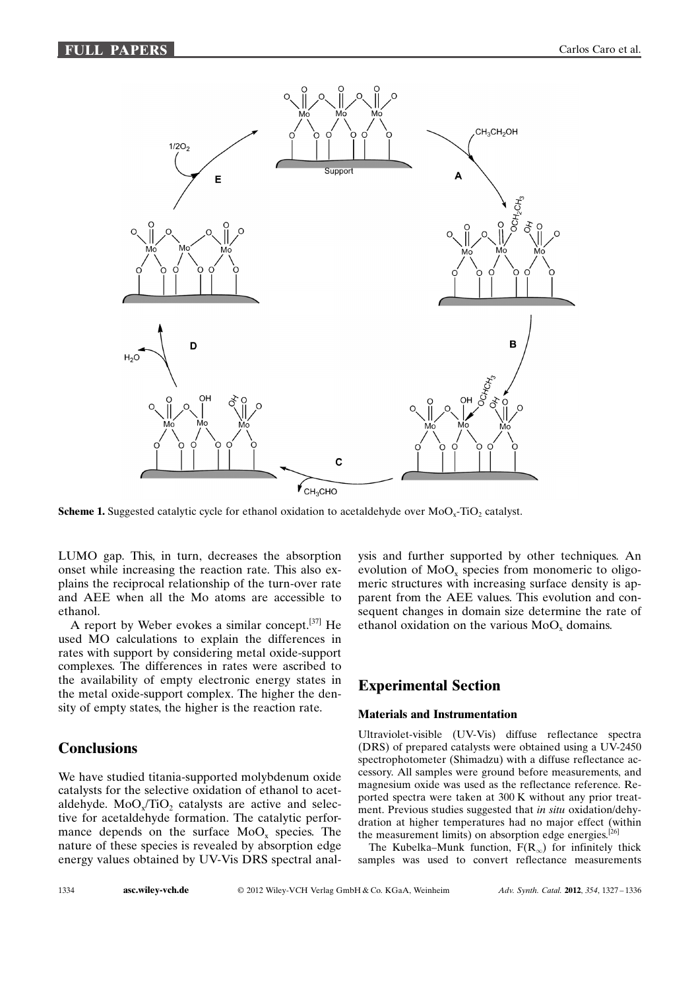

**Scheme 1.** Suggested catalytic cycle for ethanol oxidation to acetaldehyde over  $MoO<sub>z</sub>-TiO<sub>2</sub>$  catalyst.

LUMO gap. This, in turn, decreases the absorption onset while increasing the reaction rate. This also explains the reciprocal relationship of the turn-over rate and AEE when all the Mo atoms are accessible to ethanol.

A report by Weber evokes a similar concept.[37] He used MO calculations to explain the differences in rates with support by considering metal oxide-support complexes. The differences in rates were ascribed to the availability of empty electronic energy states in the metal oxide-support complex. The higher the density of empty states, the higher is the reaction rate.

## **Conclusions**

We have studied titania-supported molybdenum oxide catalysts for the selective oxidation of ethanol to acetaldehyde. MoO<sub>y</sub>/TiO<sub>2</sub> catalysts are active and selective for acetaldehyde formation. The catalytic performance depends on the surface  $MoO<sub>x</sub>$  species. The nature of these species is revealed by absorption edge energy values obtained by UV-Vis DRS spectral analysis and further supported by other techniques. An evolution of  $MoO<sub>x</sub>$  species from monomeric to oligomeric structures with increasing surface density is apparent from the AEE values. This evolution and consequent changes in domain size determine the rate of ethanol oxidation on the various  $MoO<sub>x</sub>$  domains.

# Experimental Section

#### Materials and Instrumentation

Ultraviolet-visible (UV-Vis) diffuse reflectance spectra (DRS) of prepared catalysts were obtained using a UV-2450 spectrophotometer (Shimadzu) with a diffuse reflectance accessory. All samples were ground before measurements, and magnesium oxide was used as the reflectance reference. Reported spectra were taken at 300 K without any prior treatment. Previous studies suggested that in situ oxidation/dehydration at higher temperatures had no major effect (within the measurement limits) on absorption edge energies.<sup>[26]</sup>

The Kubelka–Munk function,  $F(R_{\infty})$  for infinitely thick samples was used to convert reflectance measurements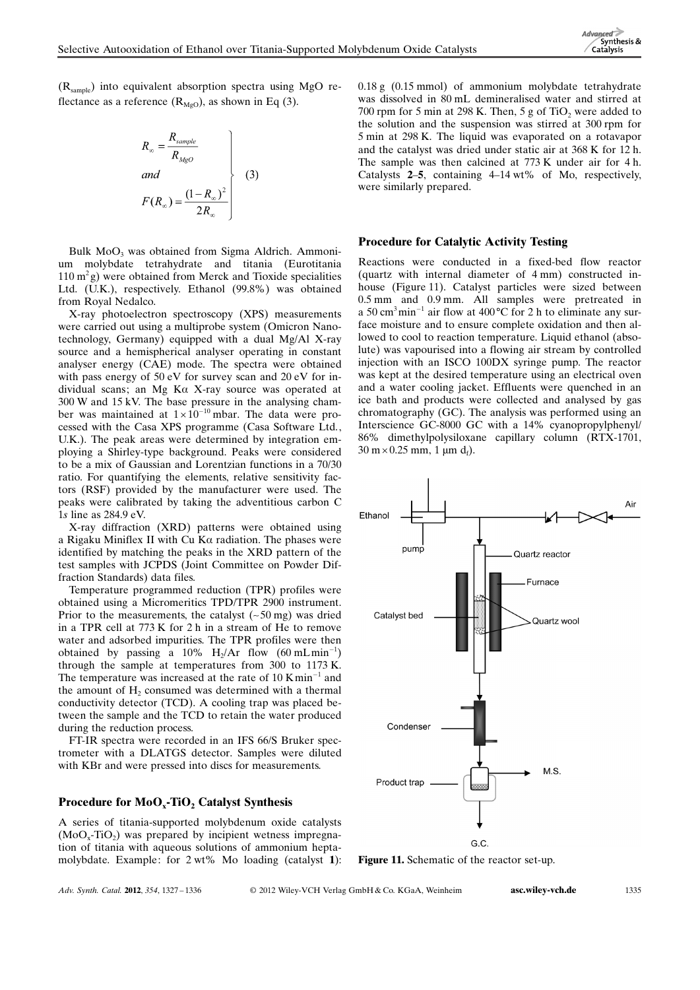(Rsample) into equivalent absorption spectra using MgO reflectance as a reference  $(R_{MgO})$ , as shown in Eq (3).

$$
R_{\infty} = \frac{R_{sample}}{R_{MgO}}
$$
  
and  

$$
F(R_{\infty}) = \frac{(1 - R_{\infty})^2}{2R_{\infty}}
$$
 (3)

Bulk MoO<sub>3</sub> was obtained from Sigma Aldrich. Ammonium molybdate tetrahydrate and titania (Eurotitania  $110 \text{ m}^2$ g) were obtained from Merck and Tioxide specialities Ltd. (U.K.), respectively. Ethanol (99.8%) was obtained from Royal Nedalco.

X-ray photoelectron spectroscopy (XPS) measurements were carried out using a multiprobe system (Omicron Nanotechnology, Germany) equipped with a dual Mg/Al X-ray source and a hemispherical analyser operating in constant analyser energy (CAE) mode. The spectra were obtained with pass energy of 50 eV for survey scan and 20 eV for individual scans; an Mg K $\alpha$  X-ray source was operated at 300 W and 15 kV. The base pressure in the analysing chamber was maintained at  $1 \times 10^{-10}$  mbar. The data were processed with the Casa XPS programme (Casa Software Ltd., U.K.). The peak areas were determined by integration employing a Shirley-type background. Peaks were considered to be a mix of Gaussian and Lorentzian functions in a 70/30 ratio. For quantifying the elements, relative sensitivity factors (RSF) provided by the manufacturer were used. The peaks were calibrated by taking the adventitious carbon C 1s line as 284.9 eV.

X-ray diffraction (XRD) patterns were obtained using a Rigaku Miniflex II with Cu K $\alpha$  radiation. The phases were identified by matching the peaks in the XRD pattern of the test samples with JCPDS (Joint Committee on Powder Diffraction Standards) data files.

Temperature programmed reduction (TPR) profiles were obtained using a Micromeritics TPD/TPR 2900 instrument. Prior to the measurements, the catalyst  $(-50 \text{ mg})$  was dried in a TPR cell at 773 K for 2 h in a stream of He to remove water and adsorbed impurities. The TPR profiles were then obtained by passing a 10%  $H_2/Ar$  flow (60 mLmin<sup>-1</sup>) through the sample at temperatures from 300 to 1173 K. The temperature was increased at the rate of  $10$  K min<sup>-1</sup> and the amount of  $H<sub>2</sub>$  consumed was determined with a thermal conductivity detector (TCD). A cooling trap was placed between the sample and the TCD to retain the water produced during the reduction process.

FT-IR spectra were recorded in an IFS 66/S Bruker spectrometer with a DLATGS detector. Samples were diluted with KBr and were pressed into discs for measurements.

#### Procedure for  $MoO<sub>x</sub>-TiO<sub>2</sub>$  Catalyst Synthesis

A series of titania-supported molybdenum oxide catalysts  $(MoO<sub>x</sub>-TiO<sub>2</sub>)$  was prepared by incipient wetness impregnation of titania with aqueous solutions of ammonium heptamolybdate. Example: for 2 wt% Mo loading (catalyst 1): 0.18 g (0.15 mmol) of ammonium molybdate tetrahydrate was dissolved in 80 mL demineralised water and stirred at 700 rpm for 5 min at 298 K. Then, 5 g of TiO<sub>2</sub> were added to the solution and the suspension was stirred at 300 rpm for 5 min at 298 K. The liquid was evaporated on a rotavapor and the catalyst was dried under static air at 368 K for 12 h. The sample was then calcined at 773 K under air for 4 h. Catalysts 2–5, containing 4–14 wt% of Mo, respectively, were similarly prepared.

#### Procedure for Catalytic Activity Testing

Reactions were conducted in a fixed-bed flow reactor (quartz with internal diameter of 4 mm) constructed inhouse (Figure 11). Catalyst particles were sized between 0.5 mm and 0.9 mm. All samples were pretreated in a 50 cm<sup>3</sup> min<sup>-1</sup> air flow at 400 °C for 2 h to eliminate any surface moisture and to ensure complete oxidation and then allowed to cool to reaction temperature. Liquid ethanol (absolute) was vapourised into a flowing air stream by controlled injection with an ISCO 100DX syringe pump. The reactor was kept at the desired temperature using an electrical oven and a water cooling jacket. Effluents were quenched in an ice bath and products were collected and analysed by gas chromatography (GC). The analysis was performed using an Interscience GC-8000 GC with a 14% cyanopropylphenyl/ 86% dimethylpolysiloxane capillary column (RTX-1701,  $30 \text{ m} \times 0.25 \text{ mm}$ , 1  $\mu \text{m}$  d<sub>f</sub>).



Figure 11. Schematic of the reactor set-up.

Adv. Synth. Catal. 2012, 354, 1327-1336

© 2012 Wiley-VCH Verlag GmbH & Co. KGaA, Weinheim **[asc.wiley-vch.de](http://asc.wiley-vch.de)** 1335